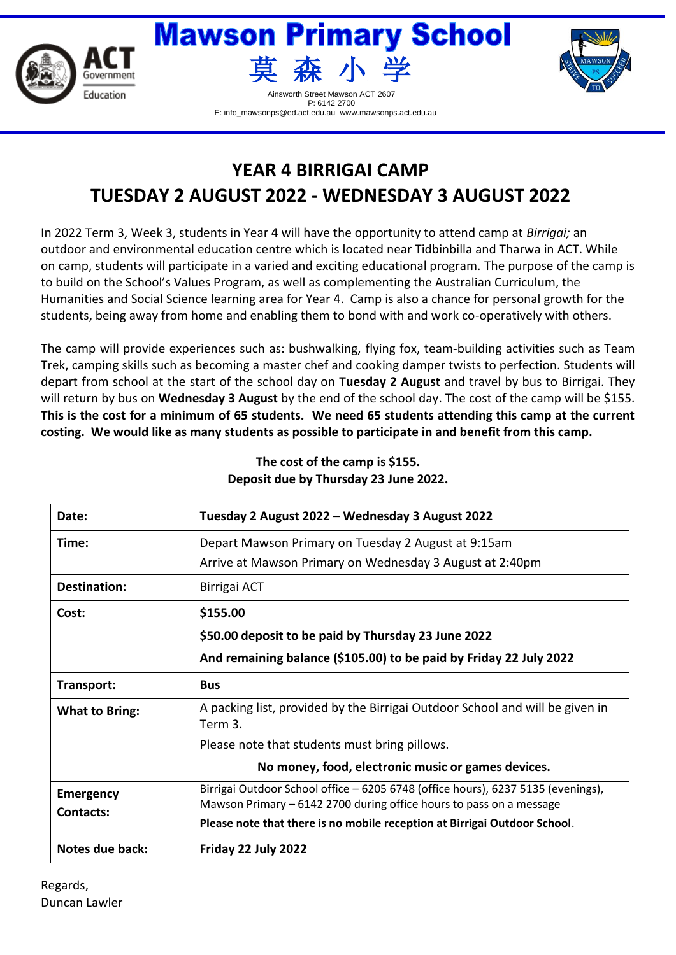



P: 6142 2700 E: info\_mawsonps@ed.act.edu.au www.mawsonps.act.edu.au



## **YEAR 4 BIRRIGAI CAMP TUESDAY 2 AUGUST 2022 - WEDNESDAY 3 AUGUST 2022**

In 2022 Term 3, Week 3, students in Year 4 will have the opportunity to attend camp at *Birrigai;* an outdoor and environmental education centre which is located near Tidbinbilla and Tharwa in ACT. While on camp, students will participate in a varied and exciting educational program. The purpose of the camp is to build on the School's Values Program, as well as complementing the Australian Curriculum, the Humanities and Social Science learning area for Year 4. Camp is also a chance for personal growth for the students, being away from home and enabling them to bond with and work co-operatively with others.

The camp will provide experiences such as: bushwalking, flying fox, team-building activities such as Team Trek, camping skills such as becoming a master chef and cooking damper twists to perfection. Students will depart from school at the start of the school day on **Tuesday 2 August** and travel by bus to Birrigai. They will return by bus on **Wednesday 3 August** by the end of the school day. The cost of the camp will be \$155. **This is the cost for a minimum of 65 students. We need 65 students attending this camp at the current costing. We would like as many students as possible to participate in and benefit from this camp.** 

| Date:                                | Tuesday 2 August 2022 - Wednesday 3 August 2022                                                                                                         |  |
|--------------------------------------|---------------------------------------------------------------------------------------------------------------------------------------------------------|--|
| Time:                                | Depart Mawson Primary on Tuesday 2 August at 9:15am                                                                                                     |  |
|                                      | Arrive at Mawson Primary on Wednesday 3 August at 2:40pm                                                                                                |  |
| <b>Destination:</b>                  | Birrigai ACT                                                                                                                                            |  |
| Cost:                                | \$155.00                                                                                                                                                |  |
|                                      | \$50.00 deposit to be paid by Thursday 23 June 2022                                                                                                     |  |
|                                      | And remaining balance (\$105.00) to be paid by Friday 22 July 2022                                                                                      |  |
| Transport:                           | <b>Bus</b>                                                                                                                                              |  |
| <b>What to Bring:</b>                | A packing list, provided by the Birrigai Outdoor School and will be given in<br>Term 3.                                                                 |  |
|                                      | Please note that students must bring pillows.                                                                                                           |  |
|                                      | No money, food, electronic music or games devices.                                                                                                      |  |
| <b>Emergency</b><br><b>Contacts:</b> | Birrigai Outdoor School office - 6205 6748 (office hours), 6237 5135 (evenings),<br>Mawson Primary – 6142 2700 during office hours to pass on a message |  |
|                                      | Please note that there is no mobile reception at Birrigai Outdoor School.                                                                               |  |
| Notes due back:                      | Friday 22 July 2022                                                                                                                                     |  |

## **The cost of the camp is \$155. Deposit due by Thursday 23 June 2022.**

Regards, Duncan Lawler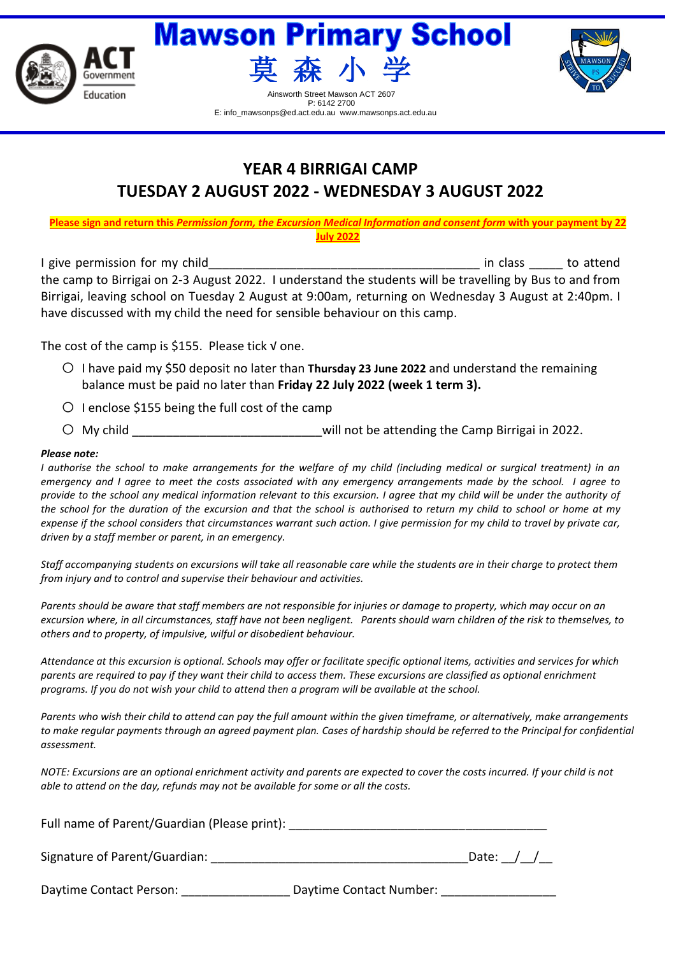



P: 6142 2700 E: info\_mawsonps@ed.act.edu.au www.mawsonps.act.edu.au



**YEAR 4 BIRRIGAI CAMP TUESDAY 2 AUGUST 2022 - WEDNESDAY 3 AUGUST 2022**

**Please sign and return this** *Permission form, the Excursion Medical Information and consent form* **with your payment by 22 July 2022**

I give permission for my child example the same state of the state of the state of the state of the state of the state of the state of the state of the state of the state of the state of the state of the state of the state the camp to Birrigai on 2-3 August 2022. I understand the students will be travelling by Bus to and from Birrigai, leaving school on Tuesday 2 August at 9:00am, returning on Wednesday 3 August at 2:40pm. I have discussed with my child the need for sensible behaviour on this camp.

The cost of the camp is \$155. Please tick √ one.

- $\circ$  I have paid my \$50 deposit no later than **Thursday 23 June 2022** and understand the remaining balance must be paid no later than **Friday 22 July 2022 (week 1 term 3).**
- $\circ$  I enclose \$155 being the full cost of the camp
- O My child **O** My child **C** My child

## *Please note:*

*I authorise the school to make arrangements for the welfare of my child (including medical or surgical treatment) in an emergency and I agree to meet the costs associated with any emergency arrangements made by the school. I agree to provide to the school any medical information relevant to this excursion. I agree that my child will be under the authority of the school for the duration of the excursion and that the school is authorised to return my child to school or home at my expense if the school considers that circumstances warrant such action. I give permission for my child to travel by private car, driven by a staff member or parent, in an emergency.*

*Staff accompanying students on excursions will take all reasonable care while the students are in their charge to protect them from injury and to control and supervise their behaviour and activities.*

*Parents should be aware that staff members are not responsible for injuries or damage to property, which may occur on an excursion where, in all circumstances, staff have not been negligent. Parents should warn children of the risk to themselves, to others and to property, of impulsive, wilful or disobedient behaviour.*

*Attendance at this excursion is optional. Schools may offer or facilitate specific optional items, activities and services for which parents are required to pay if they want their child to access them. These excursions are classified as optional enrichment programs. If you do not wish your child to attend then a program will be available at the school.*

*Parents who wish their child to attend can pay the full amount within the given timeframe, or alternatively, make arrangements to make regular payments through an agreed payment plan. Cases of hardship should be referred to the Principal for confidential assessment.*

*NOTE: Excursions are an optional enrichment activity and parents are expected to cover the costs incurred. If your child is not able to attend on the day, refunds may not be available for some or all the costs.*

Full name of Parent/Guardian (Please print): \_\_\_\_\_\_\_\_\_\_\_\_\_\_\_\_\_\_\_\_\_\_\_\_\_\_\_\_\_\_\_\_\_\_\_

Signature of Parent/Guardian: \_\_\_\_\_\_\_\_\_\_\_\_\_\_\_\_\_\_\_\_\_\_\_\_\_\_\_\_\_\_\_\_\_\_\_\_\_\_Date: \_\_/\_\_/\_\_

Daytime Contact Person: \_\_\_\_\_\_\_\_\_\_\_\_\_\_\_\_\_\_\_\_ Daytime Contact Number: \_\_\_\_\_\_\_\_\_\_\_